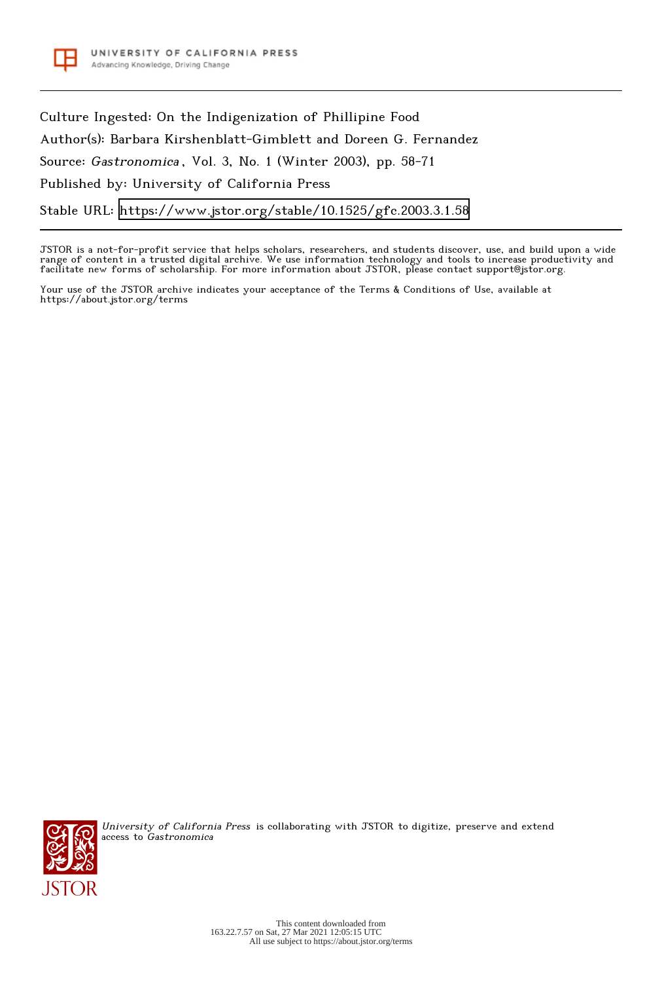

Culture Ingested: On the Indigenization of Phillipine Food Author(s): Barbara Kirshenblatt-Gimblett and Doreen G. Fernandez Source: Gastronomica , Vol. 3, No. 1 (Winter 2003), pp. 58-71 Published by: University of California Press

Stable URL:<https://www.jstor.org/stable/10.1525/gfc.2003.3.1.58>

JSTOR is a not-for-profit service that helps scholars, researchers, and students discover, use, and build upon a wide

range of content in a trusted digital archive. We use information technology and tools to increase productivity and

facilitate new forms of scholarship. For more information about JSTOR, please contact support@jstor.org. Your use of the JSTOR archive indicates your acceptance of the Terms & Conditions of Use, available at https://about.jstor.org/terms



University of California Press is collaborating with JSTOR to digitize, preserve and extend access to Gastronomica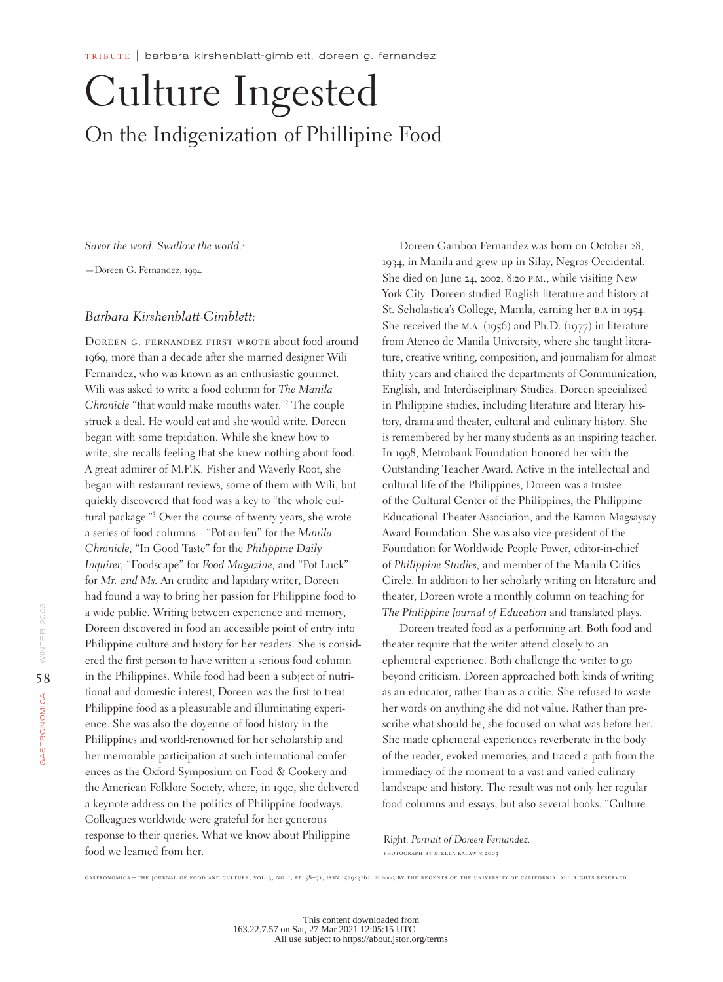# Culture Ingested On the Indigenization of Phillipine Food

*Savor the word. Swallow the world.1*

—Doreen G. Fernandez, 1994

## *Barbara Kirshenblatt-Gimblett:*

Doreen g. fernandez first wrote about food around 1969, more than a decade after she married designer Wili Fernandez, who was known as an enthusiastic gourmet. Wili was asked to write a food column for *The Manila Chronicle* "that would make mouths water."2 The couple struck a deal. He would eat and she would write. Doreen began with some trepidation. While she knew how to write, she recalls feeling that she knew nothing about food. A great admirer of M.F.K. Fisher and Waverly Root, she began with restaurant reviews, some of them with Wili, but quickly discovered that food was a key to "the whole cultural package."3 Over the course of twenty years, she wrote a series of food columns—"Pot-au-feu" for the *Manila Chronicle,* "In Good Taste" for the *Philippine Daily Inquirer,* "Foodscape" for *Food Magazine,* and "Pot Luck" for *Mr. and Ms.* An erudite and lapidary writer, Doreen had found a way to bring her passion for Philippine food to a wide public. Writing between experience and memory, Doreen discovered in food an accessible point of entry into Philippine culture and history for her readers. She is considered the first person to have written a serious food column in the Philippines. While food had been a subject of nutritional and domestic interest, Doreen was the first to treat Philippine food as a pleasurable and illuminating experience. She was also the doyenne of food history in the Philippines and world-renowned for her scholarship and her memorable participation at such international conferences as the Oxford Symposium on Food & Cookery and the American Folklore Society, where, in 1990, she delivered a keynote address on the politics of Philippine foodways. Colleagues worldwide were grateful for her generous response to their queries. What we know about Philippine food we learned from her.

Doreen Gamboa Fernandez was born on October 28, 1934, in Manila and grew up in Silay, Negros Occidental. She died on June 24, 2002, 8:20 p.m., while visiting New York City. Doreen studied English literature and history at St. Scholastica's College, Manila, earning her b.a in 1954. She received the M.A. (1956) and Ph.D. (1977) in literature from Ateneo de Manila University, where she taught literature, creative writing, composition, and journalism for almost thirty years and chaired the departments of Communication, English, and Interdisciplinary Studies. Doreen specialized in Philippine studies, including literature and literary history, drama and theater, cultural and culinary history. She is remembered by her many students as an inspiring teacher. In 1998, Metrobank Foundation honored her with the Outstanding Teacher Award. Active in the intellectual and cultural life of the Philippines, Doreen was a trustee of the Cultural Center of the Philippines, the Philippine Educational Theater Association, and the Ramon Magsaysay Award Foundation. She was also vice-president of the Foundation for Worldwide People Power, editor-in-chief of *Philippine Studies,* and member of the Manila Critics Circle. In addition to her scholarly writing on literature and theater, Doreen wrote a monthly column on teaching for *The Philippine Journal of Education* and translated plays.

Doreen treated food as a performing art. Both food and theater require that the writer attend closely to an ephemeral experience. Both challenge the writer to go beyond criticism. Doreen approached both kinds of writing as an educator, rather than as a critic. She refused to waste her words on anything she did not value. Rather than prescribe what should be, she focused on what was before her. She made ephemeral experiences reverberate in the body of the reader, evoked memories, and traced a path from the immediacy of the moment to a vast and varied culinary landscape and history. The result was not only her regular food columns and essays, but also several books. "Culture

Right: *Portrait of Doreen Fernandez.* photograph by stella kalaw © 2003

gastronomica—the journal of food and culture, vol. 3, no. 1, pp. 58–71, issn 1529-3262. © 2003 by the regents of the university of california. all rights reserved.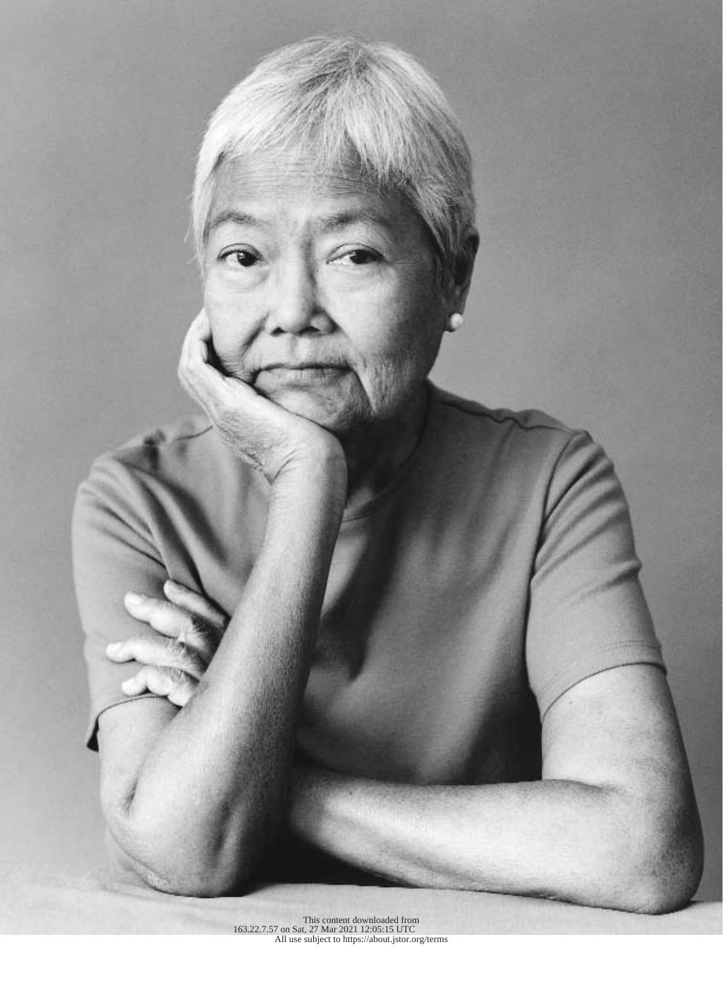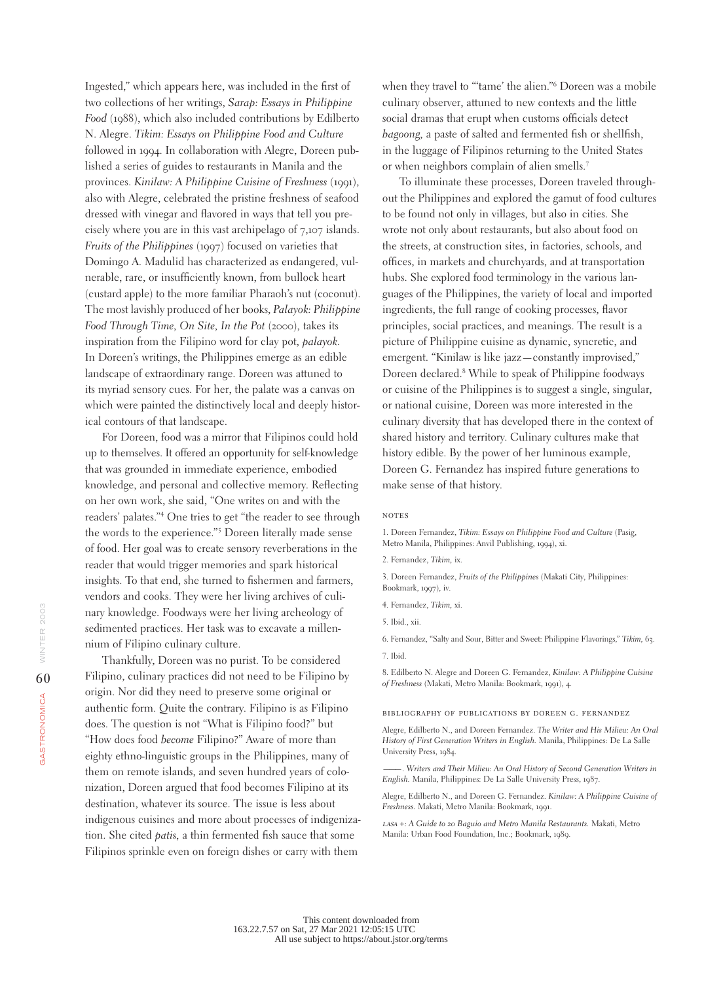Ingested," which appears here, was included in the first of two collections of her writings, *Sarap: Essays in Philippine Food* (1988), which also included contributions by Edilberto N. Alegre. *Tikim: Essays on Philippine Food and Culture* followed in 1994. In collaboration with Alegre, Doreen published a series of guides to restaurants in Manila and the provinces. *Kinilaw: A Philippine Cuisine of Freshness* (1991), also with Alegre, celebrated the pristine freshness of seafood dressed with vinegar and flavored in ways that tell you precisely where you are in this vast archipelago of 7,107 islands. *Fruits of the Philippines* (1997) focused on varieties that Domingo A. Madulid has characterized as endangered, vulnerable, rare, or insufficiently known, from bullock heart (custard apple) to the more familiar Pharaoh's nut (coconut). The most lavishly produced of her books, *Palayok: Philippine Food Through Time, On Site, In the Pot* (2000), takes its inspiration from the Filipino word for clay pot, *palayok.* In Doreen's writings, the Philippines emerge as an edible landscape of extraordinary range. Doreen was attuned to its myriad sensory cues. For her, the palate was a canvas on which were painted the distinctively local and deeply historical contours of that landscape.

For Doreen, food was a mirror that Filipinos could hold up to themselves. It offered an opportunity for self-knowledge that was grounded in immediate experience, embodied knowledge, and personal and collective memory. Reflecting on her own work, she said, "One writes on and with the readers' palates."4 One tries to get "the reader to see through the words to the experience."5 Doreen literally made sense of food. Her goal was to create sensory reverberations in the reader that would trigger memories and spark historical insights. To that end, she turned to fishermen and farmers, vendors and cooks. They were her living archives of culinary knowledge. Foodways were her living archeology of sedimented practices. Her task was to excavate a millennium of Filipino culinary culture.

Thankfully, Doreen was no purist. To be considered Filipino, culinary practices did not need to be Filipino by origin. Nor did they need to preserve some original or authentic form. Quite the contrary. Filipino is as Filipino does. The question is not "What is Filipino food?" but "How does food *become* Filipino?" Aware of more than eighty ethno-linguistic groups in the Philippines, many of them on remote islands, and seven hundred years of colonization, Doreen argued that food becomes Filipino at its destination, whatever its source. The issue is less about indigenous cuisines and more about processes of indigenization. She cited *patis,* a thin fermented fish sauce that some Filipinos sprinkle even on foreign dishes or carry with them

when they travel to "'tame' the alien."<sup>6</sup> Doreen was a mobile culinary observer, attuned to new contexts and the little social dramas that erupt when customs officials detect *bagoong,* a paste of salted and fermented fish or shellfish, in the luggage of Filipinos returning to the United States or when neighbors complain of alien smells.7

To illuminate these processes, Doreen traveled throughout the Philippines and explored the gamut of food cultures to be found not only in villages, but also in cities. She wrote not only about restaurants, but also about food on the streets, at construction sites, in factories, schools, and offices, in markets and churchyards, and at transportation hubs. She explored food terminology in the various languages of the Philippines, the variety of local and imported ingredients, the full range of cooking processes, flavor principles, social practices, and meanings. The result is a picture of Philippine cuisine as dynamic, syncretic, and emergent. "Kinilaw is like jazz—constantly improvised," Doreen declared.8 While to speak of Philippine foodways or cuisine of the Philippines is to suggest a single, singular, or national cuisine, Doreen was more interested in the culinary diversity that has developed there in the context of shared history and territory. Culinary cultures make that history edible. By the power of her luminous example, Doreen G. Fernandez has inspired future generations to make sense of that history.

#### **NOTES**

1. Doreen Fernandez, *Tikim: Essays on Philippine Food and Culture* (Pasig, Metro Manila, Philippines: Anvil Publishing, 1994), xi.

3. Doreen Fernandez, *Fruits of the Philippines* (Makati City, Philippines: Bookmark, 1997), iv.

- 4. Fernandez, *Tikim,* xi.
- 5. Ibid., xii.

6. Fernandez, "Salty and Sour, Bitter and Sweet: Philippine Flavorings," *Tikim,* 63. 7. Ibid.

8. Edilberto N. Alegre and Doreen G. Fernandez, *Kinilaw: A Philippine Cuisine of Freshness* (Makati, Metro Manila: Bookmark, 1991), 4.

#### bibliography of publications by doreen g. fernandez

Alegre, Edilberto N., and Doreen Fernandez. *The Writer and His Milieu: An Oral History of First Generation Writers in English.* Manila, Philippines: De La Salle University Press, 1984.

———. *Writers and Their Milieu: An Oral History of Second Generation Writers in English.* Manila, Philippines: De La Salle University Press, 1987.

Alegre, Edilberto N., and Doreen G. Fernandez. *Kinilaw: A Philippine Cuisine of Freshness.* Makati, Metro Manila: Bookmark, 1991.

lasa *+: A Guide to 20 Baguio and Metro Manila Restaurants.* Makati, Metro Manila: Urban Food Foundation, Inc.; Bookmark, 1989.

2003

<sup>2.</sup> Fernandez, *Tikim,* ix.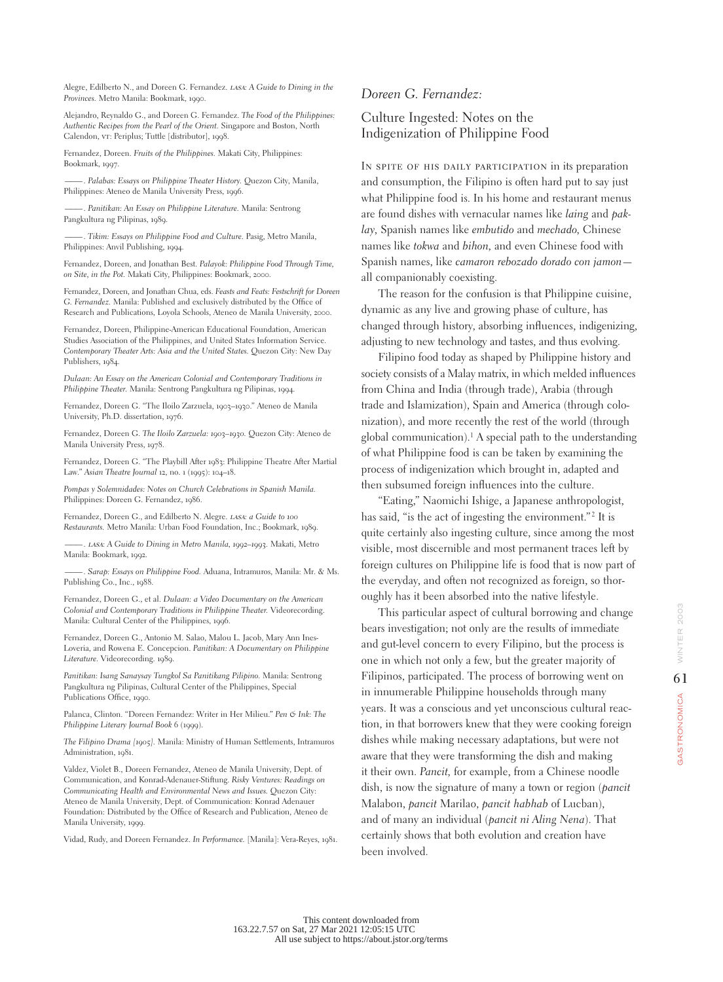Alegre, Edilberto N., and Doreen G. Fernandez. lasa*: A Guide to Dining in the Provinces.* Metro Manila: Bookmark, 1990.

Alejandro, Reynaldo G., and Doreen G. Fernandez. *The Food of the Philippines: Authentic Recipes from the Pearl of the Orient.* Singapore and Boston, North Calendon, vr: Periplus; Tuttle [distributor], 1998.

Fernandez, Doreen. *Fruits of the Philippines.* Makati City, Philippines: Bookmark, 1997.

———. *Palabas: Essays on Philippine Theater History.* Quezon City, Manila, Philippines: Ateneo de Manila University Press, 1996.

———. *Panitikan: An Essay on Philippine Literature.* Manila: Sentrong Pangkultura ng Pilipinas, 1989.

———. *Tikim: Essays on Philippine Food and Culture.* Pasig, Metro Manila, Philippines: Anvil Publishing, 1994.

Fernandez, Doreen, and Jonathan Best. *Palayok: Philippine Food Through Time, on Site, in the Pot.* Makati City, Philippines: Bookmark, 2000.

Fernandez, Doreen, and Jonathan Chua, eds. *Feasts and Feats: Festschrift for Doreen G. Fernandez.* Manila: Published and exclusively distributed by the Office of Research and Publications, Loyola Schools, Ateneo de Manila University, 2000.

Fernandez, Doreen, Philippine-American Educational Foundation, American Studies Association of the Philippines, and United States Information Service. *Contemporary Theater Arts: Asia and the United States.* Quezon City: New Day Publishers, 1984.

*Dulaan: An Essay on the American Colonial and Contemporary Traditions in Philippine Theater.* Manila: Sentrong Pangkultura ng Pilipinas, 1994.

Fernandez, Doreen G. "The Iloilo Zarzuela, 1903–1930." Ateneo de Manila University, Ph.D. dissertation, 1976.

Fernandez, Doreen G. *The Iloilo Zarzuela: 1903–1930.* Quezon City: Ateneo de Manila University Press, 1978.

Fernandez, Doreen G. "The Playbill After 1983: Philippine Theatre After Martial Law." *Asian Theatre Journal* 12, no. 1 (1995): 104–18.

*Pompas y Solemnidades: Notes on Church Celebrations in Spanish Manila.* Philippines: Doreen G. Fernandez, 1986.

Fernandez, Doreen G., and Edilberto N. Alegre. lasa*: a Guide to 100 Restaurants.* Metro Manila: Urban Food Foundation, Inc.; Bookmark, 1989.

———. lasa*: A Guide to Dining in Metro Manila, 1992–1993.* Makati, Metro Manila: Bookmark, 1992.

———. *Sarap: Essays on Philippine Food.* Aduana, Intramuros, Manila: Mr. & Ms. Publishing Co., Inc., 1988.

Fernandez, Doreen G., et al. *Dulaan: a Video Documentary on the American Colonial and Contemporary Traditions in Philippine Theater.* Videorecording. Manila: Cultural Center of the Philippines, 1996.

Fernandez, Doreen G., Antonio M. Salao, Malou L. Jacob, Mary Ann Ines-Loveria, and Rowena E. Concepcion. *Panitikan: A Documentary on Philippine Literature.* Videorecording. 1989.

*Panitikan: Isang Sanaysay Tungkol Sa Panitikang Pilipino.* Manila: Sentrong Pangkultura ng Pilipinas, Cultural Center of the Philippines, Special Publications Office, 1990.

Palanca, Clinton. "Doreen Fernandez: Writer in Her Milieu." *Pen & Ink: The Philippine Literary Journal Book* 6 (1999).

*The Filipino Drama [1905].* Manila: Ministry of Human Settlements, Intramuros Administration, 1081.

Valdez, Violet B., Doreen Fernandez, Ateneo de Manila University, Dept. of Communication, and Konrad-Adenauer-Stiftung. *Risky Ventures: Readings on Communicating Health and Environmental News and Issues.* Quezon City: Ateneo de Manila University, Dept. of Communication: Konrad Adenauer Foundation: Distributed by the Office of Research and Publication, Ateneo de Manila University, 1999.

Vidad, Rudy, and Doreen Fernandez. *In Performance.* [Manila]: Vera-Reyes, 1981.

### *Doreen G. Fernandez:*

## Culture Ingested: Notes on the Indigenization of Philippine Food

IN SPITE OF HIS DAILY PARTICIPATION in its preparation and consumption, the Filipino is often hard put to say just what Philippine food is. In his home and restaurant menus are found dishes with vernacular names like *laing* and *paklay,* Spanish names like *embutido* and *mechado,* Chinese names like *tokwa* and *bihon,* and even Chinese food with Spanish names, like *camaron rebozado dorado con jamon* all companionably coexisting.

The reason for the confusion is that Philippine cuisine, dynamic as any live and growing phase of culture, has changed through history, absorbing influences, indigenizing, adjusting to new technology and tastes, and thus evolving.

Filipino food today as shaped by Philippine history and society consists of a Malay matrix, in which melded influences from China and India (through trade), Arabia (through trade and Islamization), Spain and America (through colonization), and more recently the rest of the world (through global communication).1 A special path to the understanding of what Philippine food is can be taken by examining the process of indigenization which brought in, adapted and then subsumed foreign influences into the culture.

"Eating," Naomichi Ishige, a Japanese anthropologist, has said, "is the act of ingesting the environment."<sup>2</sup> It is quite certainly also ingesting culture, since among the most visible, most discernible and most permanent traces left by foreign cultures on Philippine life is food that is now part of the everyday, and often not recognized as foreign, so thoroughly has it been absorbed into the native lifestyle.

This particular aspect of cultural borrowing and change bears investigation; not only are the results of immediate and gut-level concern to every Filipino, but the process is one in which not only a few, but the greater majority of Filipinos, participated. The process of borrowing went on in innumerable Philippine households through many years. It was a conscious and yet unconscious cultural reaction, in that borrowers knew that they were cooking foreign dishes while making necessary adaptations, but were not aware that they were transforming the dish and making it their own. *Pancit,* for example, from a Chinese noodle dish, is now the signature of many a town or region (*pancit* Malabon, *pancit* Marilao, *pancit habhab* of Lucban), and of many an individual (*pancit ni Aling Nena*). That certainly shows that both evolution and creation have been involved.

2003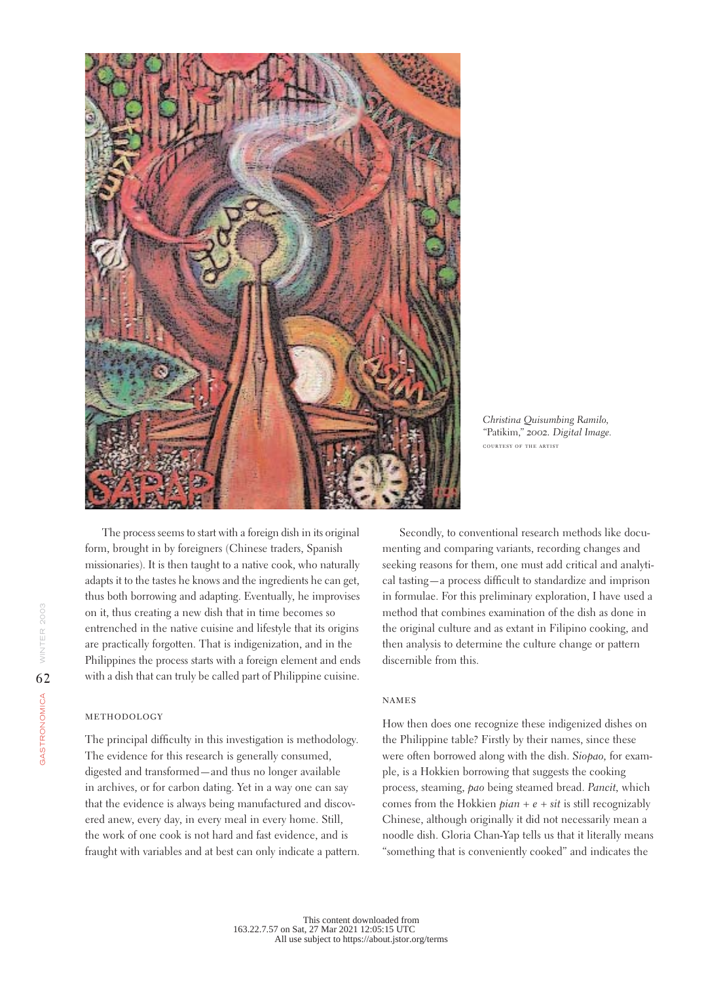

*Christina Quisumbing Ramilo, "*Patikim," *2002. Digital Image.* courtesy of the artist

The process seems to start with a foreign dish in its original form, brought in by foreigners (Chinese traders, Spanish missionaries). It is then taught to a native cook, who naturally adapts it to the tastes he knows and the ingredients he can get, thus both borrowing and adapting. Eventually, he improvises on it, thus creating a new dish that in time becomes so entrenched in the native cuisine and lifestyle that its origins are practically forgotten. That is indigenization, and in the Philippines the process starts with a foreign element and ends with a dish that can truly be called part of Philippine cuisine.

#### methodology

The principal difficulty in this investigation is methodology. The evidence for this research is generally consumed, digested and transformed—and thus no longer available in archives, or for carbon dating. Yet in a way one can say that the evidence is always being manufactured and discovered anew, every day, in every meal in every home. Still, the work of one cook is not hard and fast evidence, and is fraught with variables and at best can only indicate a pattern.

Secondly, to conventional research methods like documenting and comparing variants, recording changes and seeking reasons for them, one must add critical and analytical tasting—a process difficult to standardize and imprison in formulae. For this preliminary exploration, I have used a method that combines examination of the dish as done in the original culture and as extant in Filipino cooking, and then analysis to determine the culture change or pattern discernible from this.

#### **NAMES**

How then does one recognize these indigenized dishes on the Philippine table? Firstly by their names, since these were often borrowed along with the dish. *Siopao,* for example, is a Hokkien borrowing that suggests the cooking process, steaming, *pao* being steamed bread. *Pancit,* which comes from the Hokkien  $pian + e + sit$  is still recognizably Chinese, although originally it did not necessarily mean a noodle dish. Gloria Chan-Yap tells us that it literally means "something that is conveniently cooked" and indicates the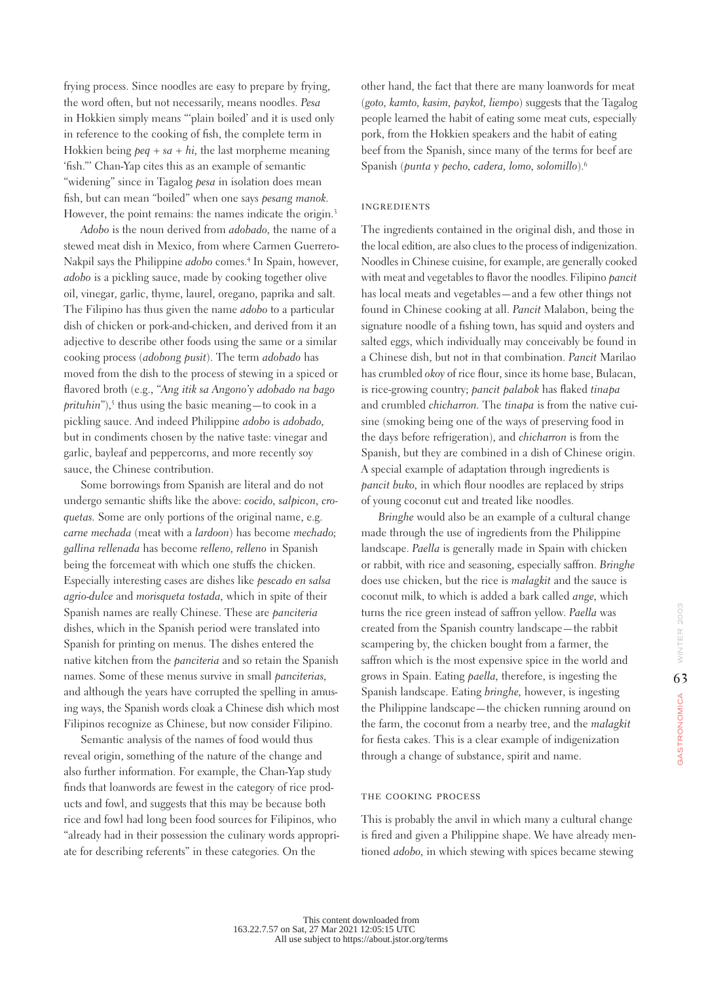frying process. Since noodles are easy to prepare by frying, the word often, but not necessarily, means noodles. *Pesa* in Hokkien simply means "'plain boiled' and it is used only in reference to the cooking of fish, the complete term in Hokkien being *peq* + *sa* + *hi,* the last morpheme meaning 'fish."' Chan-Yap cites this as an example of semantic "widening" since in Tagalog *pesa* in isolation does mean fish, but can mean "boiled" when one says *pesang manok.* However, the point remains: the names indicate the origin.<sup>3</sup>

*Adobo* is the noun derived from *adobado,* the name of a stewed meat dish in Mexico, from where Carmen Guerrero-Nakpil says the Philippine *adobo* comes.4 In Spain, however, *adobo* is a pickling sauce, made by cooking together olive oil, vinegar, garlic, thyme, laurel, oregano, paprika and salt. The Filipino has thus given the name *adobo* to a particular dish of chicken or pork-and-chicken, and derived from it an adjective to describe other foods using the same or a similar cooking process (*adobong pusit*). The term *adobado* has moved from the dish to the process of stewing in a spiced or flavored broth (e.g., *"Ang itik sa Angono'y adobado na bago prituhin*"),<sup>5</sup> thus using the basic meaning—to cook in a pickling sauce. And indeed Philippine *adobo* is *adobado,* but in condiments chosen by the native taste: vinegar and garlic, bayleaf and peppercorns, and more recently soy sauce, the Chinese contribution.

Some borrowings from Spanish are literal and do not undergo semantic shifts like the above: *cocido, salpicon, croquetas.* Some are only portions of the original name, e.g. *carne mechada* (meat with a *lardoon*) has become *mechado; gallina rellenada* has become *relleno, relleno* in Spanish being the forcemeat with which one stuffs the chicken. Especially interesting cases are dishes like *pescado en salsa agrio-dulce* and *morisqueta tostada,* which in spite of their Spanish names are really Chinese. These are *panciteria* dishes, which in the Spanish period were translated into Spanish for printing on menus. The dishes entered the native kitchen from the *panciteria* and so retain the Spanish names. Some of these menus survive in small *panciterias,* and although the years have corrupted the spelling in amusing ways, the Spanish words cloak a Chinese dish which most Filipinos recognize as Chinese, but now consider Filipino.

Semantic analysis of the names of food would thus reveal origin, something of the nature of the change and also further information. For example, the Chan-Yap study finds that loanwords are fewest in the category of rice products and fowl, and suggests that this may be because both rice and fowl had long been food sources for Filipinos, who "already had in their possession the culinary words appropriate for describing referents" in these categories. On the

other hand, the fact that there are many loanwords for meat (*goto, kamto, kasim, paykot, liempo*) suggests that the Tagalog people learned the habit of eating some meat cuts, especially pork, from the Hokkien speakers and the habit of eating beef from the Spanish, since many of the terms for beef are Spanish (*punta y pecho, cadera, lomo, solomillo*).6

#### ingredients

The ingredients contained in the original dish, and those in the local edition, are also clues to the process of indigenization. Noodles in Chinese cuisine, for example, are generally cooked with meat and vegetables to flavor the noodles. Filipino *pancit* has local meats and vegetables—and a few other things not found in Chinese cooking at all. *Pancit* Malabon, being the signature noodle of a fishing town, has squid and oysters and salted eggs, which individually may conceivably be found in a Chinese dish, but not in that combination. *Pancit* Marilao has crumbled *okoy* of rice flour, since its home base, Bulacan, is rice-growing country; *pancit palabok* has flaked *tinapa* and crumbled *chicharron.* The *tinapa* is from the native cuisine (smoking being one of the ways of preserving food in the days before refrigeration), and *chicharron* is from the Spanish, but they are combined in a dish of Chinese origin. A special example of adaptation through ingredients is *pancit buko,* in which flour noodles are replaced by strips of young coconut cut and treated like noodles.

*Bringhe* would also be an example of a cultural change made through the use of ingredients from the Philippine landscape. *Paella* is generally made in Spain with chicken or rabbit, with rice and seasoning, especially saffron. *Bringhe* does use chicken, but the rice is *malagkit* and the sauce is coconut milk, to which is added a bark called *ange,* which turns the rice green instead of saffron yellow. *Paella* was created from the Spanish country landscape—the rabbit scampering by, the chicken bought from a farmer, the saffron which is the most expensive spice in the world and grows in Spain. Eating *paella,* therefore, is ingesting the Spanish landscape. Eating *bringhe,* however, is ingesting the Philippine landscape—the chicken running around on the farm, the coconut from a nearby tree, and the *malagkit* for fiesta cakes. This is a clear example of indigenization through a change of substance, spirit and name.

#### the cooking process

This is probably the anvil in which many a cultural change is fired and given a Philippine shape. We have already mentioned *adobo,* in which stewing with spices became stewing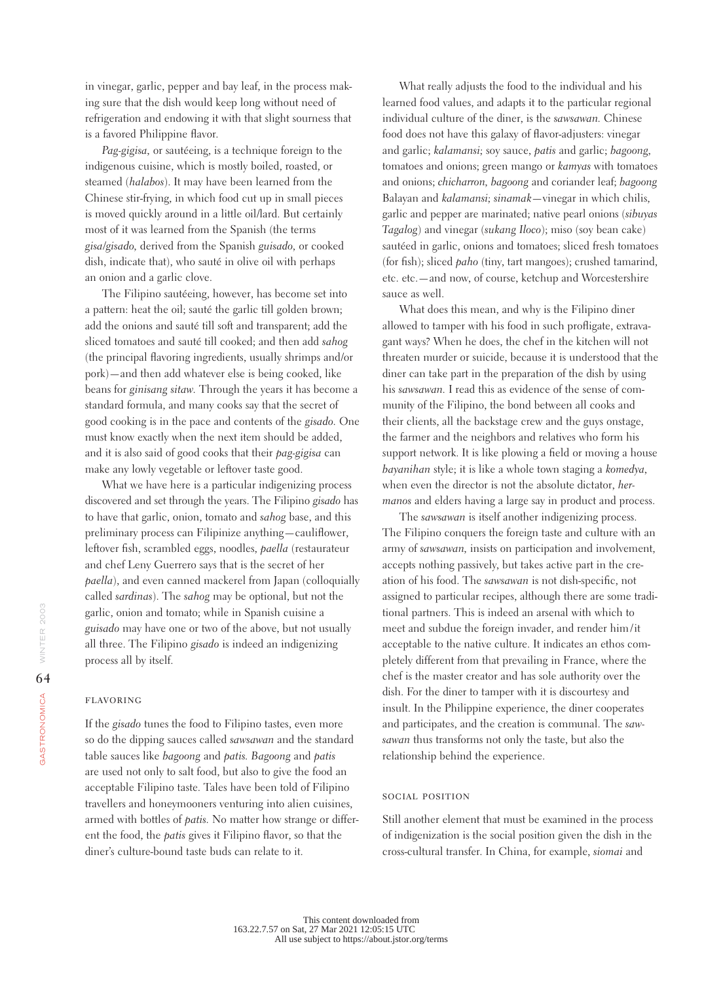in vinegar, garlic, pepper and bay leaf, in the process making sure that the dish would keep long without need of refrigeration and endowing it with that slight sourness that is a favored Philippine flavor.

*Pag-gigisa,* or sautéeing, is a technique foreign to the indigenous cuisine, which is mostly boiled, roasted, or steamed (*halabos*). It may have been learned from the Chinese stir-frying, in which food cut up in small pieces is moved quickly around in a little oil/lard. But certainly most of it was learned from the Spanish (the terms *gisa/gisado,* derived from the Spanish *guisado,* or cooked dish, indicate that), who sauté in olive oil with perhaps an onion and a garlic clove.

The Filipino sautéeing, however, has become set into a pattern: heat the oil; sauté the garlic till golden brown; add the onions and sauté till soft and transparent; add the sliced tomatoes and sauté till cooked; and then add *sahog* (the principal flavoring ingredients, usually shrimps and/or pork)—and then add whatever else is being cooked, like beans for *ginisang sitaw.* Through the years it has become a standard formula, and many cooks say that the secret of good cooking is in the pace and contents of the *gisado.* One must know exactly when the next item should be added, and it is also said of good cooks that their *pag-gigisa* can make any lowly vegetable or leftover taste good.

What we have here is a particular indigenizing process discovered and set through the years. The Filipino *gisado* has to have that garlic, onion, tomato and *sahog* base, and this preliminary process can Filipinize anything—cauliflower, leftover fish, scrambled eggs, noodles, *paella* (restaurateur and chef Leny Guerrero says that is the secret of her *paella*), and even canned mackerel from Japan (colloquially called *sardinas*). The *sahog* may be optional, but not the garlic, onion and tomato; while in Spanish cuisine a *guisado* may have one or two of the above, but not usually all three. The Filipino *gisado* is indeed an indigenizing process all by itself.

#### flavoring

If the *gisado* tunes the food to Filipino tastes, even more so do the dipping sauces called *sawsawan* and the standard table sauces like *bagoong* and *patis. Bagoong* and *patis* are used not only to salt food, but also to give the food an acceptable Filipino taste. Tales have been told of Filipino travellers and honeymooners venturing into alien cuisines, armed with bottles of *patis.* No matter how strange or different the food, the *patis* gives it Filipino flavor, so that the diner's culture-bound taste buds can relate to it.

What really adjusts the food to the individual and his learned food values, and adapts it to the particular regional individual culture of the diner, is the *sawsawan.* Chinese food does not have this galaxy of flavor-adjusters: vinegar and garlic; *kalamansi;* soy sauce, *patis* and garlic; *bagoong,* tomatoes and onions; green mango or *kamyas* with tomatoes and onions; *chicharron, bagoong* and coriander leaf; *bagoong* Balayan and *kalamansi; sinamak*—vinegar in which chilis, garlic and pepper are marinated; native pearl onions (*sibuyas Tagalog*) and vinegar (*sukang Iloco*); miso (soy bean cake) sautéed in garlic, onions and tomatoes; sliced fresh tomatoes (for fish); sliced *paho* (tiny, tart mangoes); crushed tamarind, etc. etc.—and now, of course, ketchup and Worcestershire sauce as well.

What does this mean, and why is the Filipino diner allowed to tamper with his food in such profligate, extravagant ways? When he does, the chef in the kitchen will not threaten murder or suicide, because it is understood that the diner can take part in the preparation of the dish by using his *sawsawan.* I read this as evidence of the sense of community of the Filipino, the bond between all cooks and their clients, all the backstage crew and the guys onstage, the farmer and the neighbors and relatives who form his support network. It is like plowing a field or moving a house *bayanihan* style; it is like a whole town staging a *komedya,* when even the director is not the absolute dictator, *hermanos* and elders having a large say in product and process.

The *sawsawan* is itself another indigenizing process. The Filipino conquers the foreign taste and culture with an army of *sawsawan,* insists on participation and involvement, accepts nothing passively, but takes active part in the creation of his food. The *sawsawan* is not dish-specific, not assigned to particular recipes, although there are some traditional partners. This is indeed an arsenal with which to meet and subdue the foreign invader, and render him/it acceptable to the native culture. It indicates an ethos completely different from that prevailing in France, where the chef is the master creator and has sole authority over the dish. For the diner to tamper with it is discourtesy and insult. In the Philippine experience, the diner cooperates and participates, and the creation is communal. The *sawsawan* thus transforms not only the taste, but also the relationship behind the experience.

#### social position

Still another element that must be examined in the process of indigenization is the social position given the dish in the cross-cultural transfer. In China, for example, *siomai* and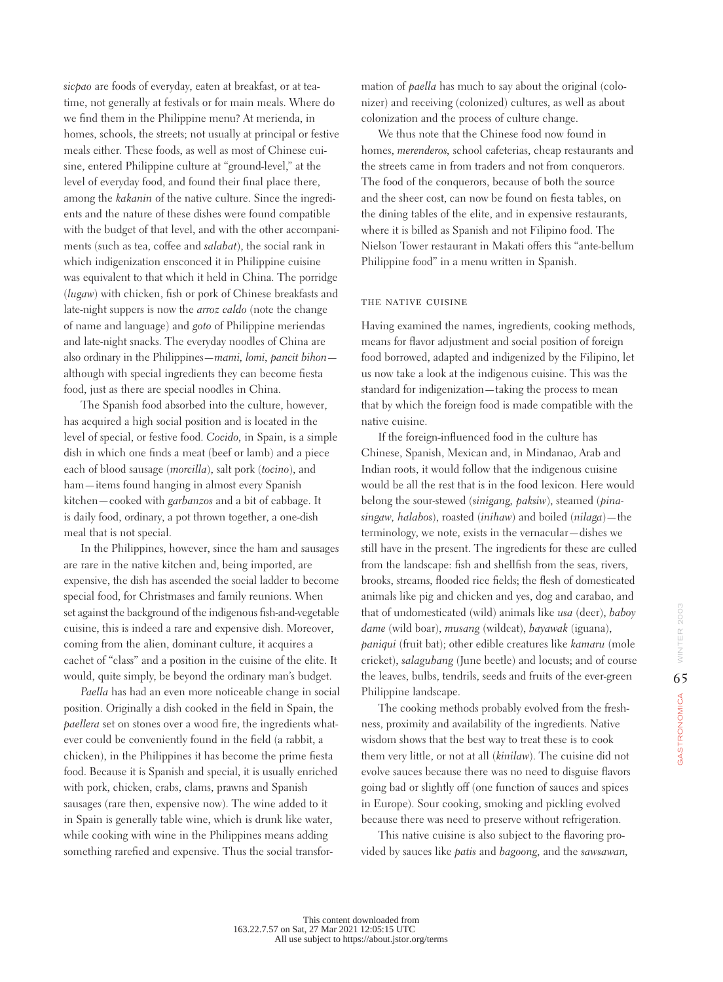*sicpao* are foods of everyday, eaten at breakfast, or at teatime, not generally at festivals or for main meals. Where do we find them in the Philippine menu? At merienda, in homes, schools, the streets; not usually at principal or festive meals either. These foods, as well as most of Chinese cuisine, entered Philippine culture at "ground-level," at the level of everyday food, and found their final place there, among the *kakanin* of the native culture. Since the ingredients and the nature of these dishes were found compatible with the budget of that level, and with the other accompaniments (such as tea, coffee and *salabat*), the social rank in which indigenization ensconced it in Philippine cuisine was equivalent to that which it held in China. The porridge (*lugaw*) with chicken, fish or pork of Chinese breakfasts and late-night suppers is now the *arroz caldo* (note the change of name and language) and *goto* of Philippine meriendas and late-night snacks. The everyday noodles of China are also ordinary in the Philippines—*mami, lomi, pancit bihon* although with special ingredients they can become fiesta food, just as there are special noodles in China.

The Spanish food absorbed into the culture, however, has acquired a high social position and is located in the level of special, or festive food. *Cocido,* in Spain, is a simple dish in which one finds a meat (beef or lamb) and a piece each of blood sausage (*morcilla*), salt pork (*tocino*), and ham—items found hanging in almost every Spanish kitchen—cooked with *garbanzos* and a bit of cabbage. It is daily food, ordinary, a pot thrown together, a one-dish meal that is not special.

In the Philippines, however, since the ham and sausages are rare in the native kitchen and, being imported, are expensive, the dish has ascended the social ladder to become special food, for Christmases and family reunions. When set against the background of the indigenous fish-and-vegetable cuisine, this is indeed a rare and expensive dish. Moreover, coming from the alien, dominant culture, it acquires a cachet of "class" and a position in the cuisine of the elite. It would, quite simply, be beyond the ordinary man's budget.

*Paella* has had an even more noticeable change in social position. Originally a dish cooked in the field in Spain, the *paellera* set on stones over a wood fire, the ingredients whatever could be conveniently found in the field (a rabbit, a chicken), in the Philippines it has become the prime fiesta food. Because it is Spanish and special, it is usually enriched with pork, chicken, crabs, clams, prawns and Spanish sausages (rare then, expensive now). The wine added to it in Spain is generally table wine, which is drunk like water, while cooking with wine in the Philippines means adding something rarefied and expensive. Thus the social transformation of *paella* has much to say about the original (colonizer) and receiving (colonized) cultures, as well as about colonization and the process of culture change.

We thus note that the Chinese food now found in homes, *merenderos,* school cafeterias, cheap restaurants and the streets came in from traders and not from conquerors. The food of the conquerors, because of both the source and the sheer cost, can now be found on fiesta tables, on the dining tables of the elite, and in expensive restaurants, where it is billed as Spanish and not Filipino food. The Nielson Tower restaurant in Makati offers this "ante-bellum Philippine food" in a menu written in Spanish.

#### the native cuisine

Having examined the names, ingredients, cooking methods, means for flavor adjustment and social position of foreign food borrowed, adapted and indigenized by the Filipino, let us now take a look at the indigenous cuisine. This was the standard for indigenization—taking the process to mean that by which the foreign food is made compatible with the native cuisine.

If the foreign-influenced food in the culture has Chinese, Spanish, Mexican and, in Mindanao, Arab and Indian roots, it would follow that the indigenous cuisine would be all the rest that is in the food lexicon. Here would belong the sour-stewed (*sinigang, paksiw*), steamed (*pinasingaw, halabos*), roasted (*inihaw*) and boiled (*nilaga*)—the terminology, we note, exists in the vernacular—dishes we still have in the present. The ingredients for these are culled from the landscape: fish and shellfish from the seas, rivers, brooks, streams, flooded rice fields; the flesh of domesticated animals like pig and chicken and yes, dog and carabao, and that of undomesticated (wild) animals like *usa* (deer), *baboy dame* (wild boar), *musang* (wildcat), *bayawak* (iguana), *paniqui* (fruit bat); other edible creatures like *kamaru* (mole cricket), *salagubang* (June beetle) and locusts; and of course the leaves, bulbs, tendrils, seeds and fruits of the ever-green Philippine landscape.

The cooking methods probably evolved from the freshness, proximity and availability of the ingredients. Native wisdom shows that the best way to treat these is to cook them very little, or not at all (*kinilaw*). The cuisine did not evolve sauces because there was no need to disguise flavors going bad or slightly off (one function of sauces and spices in Europe). Sour cooking, smoking and pickling evolved because there was need to preserve without refrigeration.

This native cuisine is also subject to the flavoring provided by sauces like *patis* and *bagoong,* and the *sawsawan,*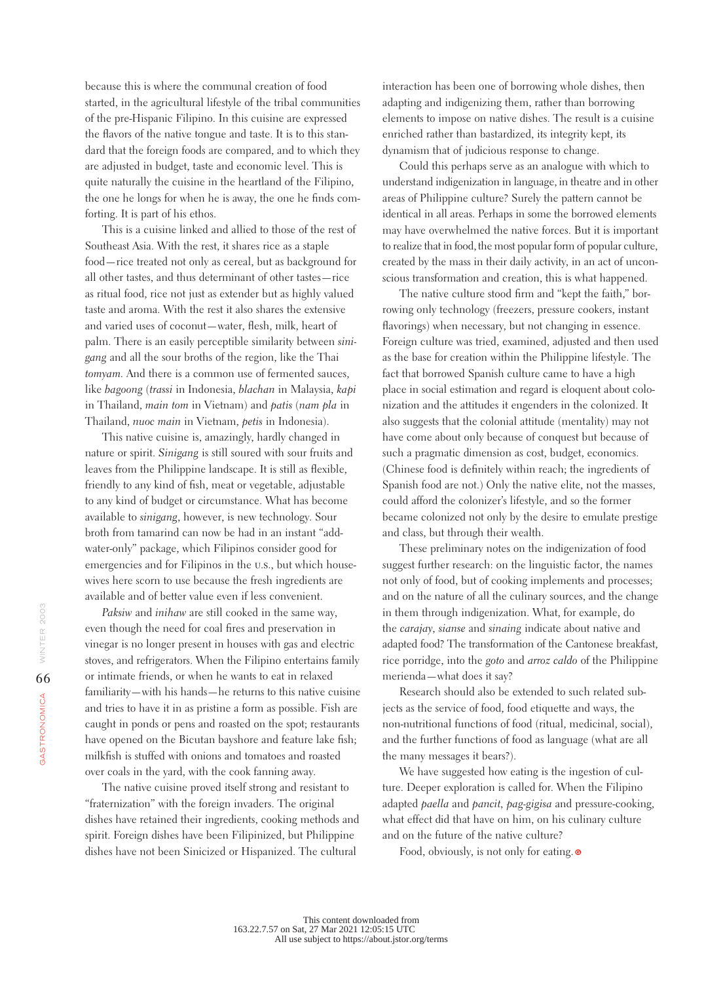because this is where the communal creation of food started, in the agricultural lifestyle of the tribal communities of the pre-Hispanic Filipino. In this cuisine are expressed the flavors of the native tongue and taste. It is to this standard that the foreign foods are compared, and to which they are adjusted in budget, taste and economic level. This is quite naturally the cuisine in the heartland of the Filipino, the one he longs for when he is away, the one he finds comforting. It is part of his ethos.

This is a cuisine linked and allied to those of the rest of Southeast Asia. With the rest, it shares rice as a staple food—rice treated not only as cereal, but as background for all other tastes, and thus determinant of other tastes—rice as ritual food, rice not just as extender but as highly valued taste and aroma. With the rest it also shares the extensive and varied uses of coconut—water, flesh, milk, heart of palm. There is an easily perceptible similarity between *sinigang* and all the sour broths of the region, like the Thai *tomyam.* And there is a common use of fermented sauces, like *bagoong* (*trassi* in Indonesia, *blachan* in Malaysia, *kapi* in Thailand, *main tom* in Vietnam) and *patis* (*nam pla* in Thailand, *nuoc main* in Vietnam, *petis* in Indonesia).

This native cuisine is, amazingly, hardly changed in nature or spirit. *Sinigang* is still soured with sour fruits and leaves from the Philippine landscape. It is still as flexible, friendly to any kind of fish, meat or vegetable, adjustable to any kind of budget or circumstance. What has become available to *sinigang*, however, is new technology. Sour broth from tamarind can now be had in an instant "addwater-only" package, which Filipinos consider good for emergencies and for Filipinos in the u.s., but which housewives here scorn to use because the fresh ingredients are available and of better value even if less convenient.

*Paksiw* and *inihaw* are still cooked in the same way, even though the need for coal fires and preservation in vinegar is no longer present in houses with gas and electric stoves, and refrigerators. When the Filipino entertains family or intimate friends, or when he wants to eat in relaxed familiarity—with his hands—he returns to this native cuisine and tries to have it in as pristine a form as possible. Fish are caught in ponds or pens and roasted on the spot; restaurants have opened on the Bicutan bayshore and feature lake fish; milkfish is stuffed with onions and tomatoes and roasted over coals in the yard, with the cook fanning away.

The native cuisine proved itself strong and resistant to "fraternization" with the foreign invaders. The original dishes have retained their ingredients, cooking methods and spirit. Foreign dishes have been Filipinized, but Philippine dishes have not been Sinicized or Hispanized. The cultural

interaction has been one of borrowing whole dishes, then adapting and indigenizing them, rather than borrowing elements to impose on native dishes. The result is a cuisine enriched rather than bastardized, its integrity kept, its dynamism that of judicious response to change.

Could this perhaps serve as an analogue with which to understand indigenization in language, in theatre and in other areas of Philippine culture? Surely the pattern cannot be identical in all areas. Perhaps in some the borrowed elements may have overwhelmed the native forces. But it is important to realize that in food, the most popular form of popular culture, created by the mass in their daily activity, in an act of unconscious transformation and creation, this is what happened.

The native culture stood firm and "kept the faith," borrowing only technology (freezers, pressure cookers, instant flavorings) when necessary, but not changing in essence. Foreign culture was tried, examined, adjusted and then used as the base for creation within the Philippine lifestyle. The fact that borrowed Spanish culture came to have a high place in social estimation and regard is eloquent about colonization and the attitudes it engenders in the colonized. It also suggests that the colonial attitude (mentality) may not have come about only because of conquest but because of such a pragmatic dimension as cost, budget, economics. (Chinese food is definitely within reach; the ingredients of Spanish food are not.) Only the native elite, not the masses, could afford the colonizer's lifestyle, and so the former became colonized not only by the desire to emulate prestige and class, but through their wealth.

These preliminary notes on the indigenization of food suggest further research: on the linguistic factor, the names not only of food, but of cooking implements and processes; and on the nature of all the culinary sources, and the change in them through indigenization. What, for example, do the *carajay, sianse* and *sinaing* indicate about native and adapted food? The transformation of the Cantonese breakfast, rice porridge, into the *goto* and *arroz caldo* of the Philippine merienda—what does it say?

Research should also be extended to such related subjects as the service of food, food etiquette and ways, the non-nutritional functions of food (ritual, medicinal, social), and the further functions of food as language (what are all the many messages it bears?).

We have suggested how eating is the ingestion of culture. Deeper exploration is called for. When the Filipino adapted *paella* and *pancit, pag-gigisa* and pressure-cooking, what effect did that have on him, on his culinary culture and on the future of the native culture?

Food, obviously, is not only for eating.  $\bullet$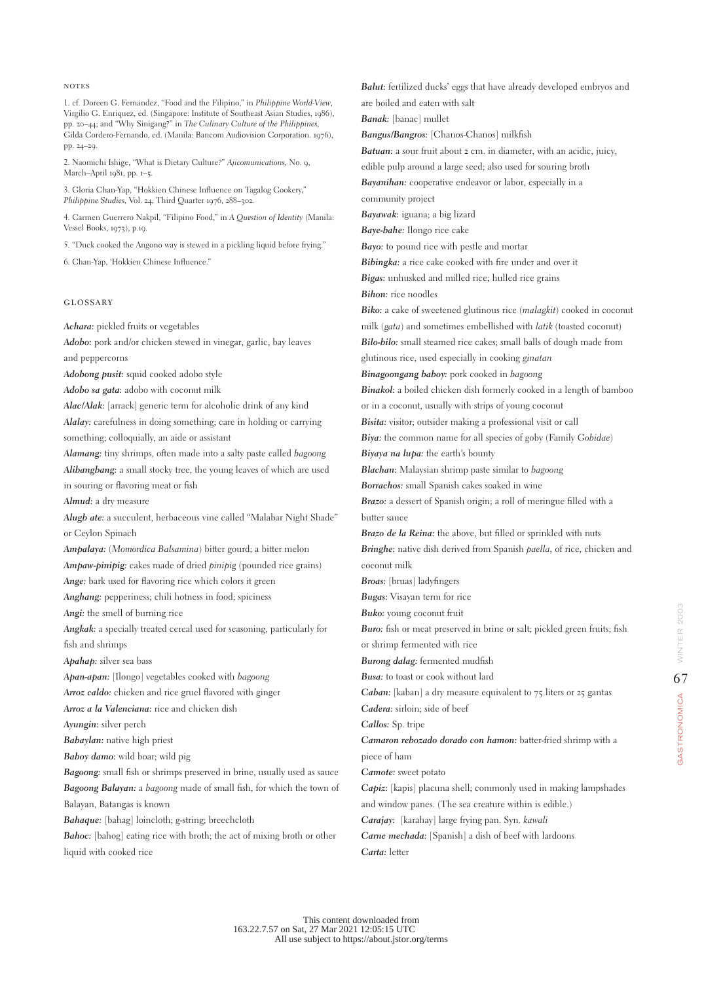#### notes

1. cf. Doreen G. Fernandez, "Food and the Filipino," in *Philippine World-View,* Virgilio G. Enriquez, ed. (Singapore: Institute of Southeast Asian Studies, 1986), pp. 20–44; and "Why Sinigang?" in *The Culinary Culture of the Philippines,* Gilda Cordero-Fernando, ed. (Manila: Bancom Audiovision Corporation. 1976), pp. 24–29.

2. Naomichi Ishige, "What is Dietary Culture?" *Ajicomunications,* No. 9, March–April 1981, pp. 1–5.

3. Gloria Chan-Yap, "Hokkien Chinese Influence on Tagalog Cookery," *Philippine Studies,* Vol. 24, Third Quarter 1976, 288–302.

4. Carmen Guerrero Nakpil, "Filipino Food," in *A Question of Identity* (Manila: Vessel Books, 1973), p.19.

5. "Duck cooked the Angono way is stewed in a pickling liquid before frying."

6. Chan-Yap, 'Hokkien Chinese Influence."

#### glossary

*Achara:* pickled fruits or vegetables

*Adobo:* pork and/or chicken stewed in vinegar, garlic, bay leaves and peppercorns

*Adobong pusit:* squid cooked adobo style

*Adobo sa gata:* adobo with coconut milk

*Alac/Alak:* [arrack] generic term for alcoholic drink of any kind *Alalay:* carefulness in doing something; care in holding or carrying something; colloquially, an aide or assistant

*Alamang:* tiny shrimps, often made into a salty paste called *bagoong Alibangbang:* a small stocky tree, the young leaves of which are used in souring or flavoring meat or fish

*Almud:* a dry measure

*Alugb ate:* a succulent, herbaceous vine called "Malabar Night Shade" or Ceylon Spinach

*Ampalaya:* (*Momordica Balsamina*) bitter gourd; a bitter melon *Ampaw-pinipig:* cakes made of dried *pinipig* (pounded rice grains) *Ange:* bark used for flavoring rice which colors it green

*Anghang:* pepperiness; chili hotness in food; spiciness

*Angi:* the smell of burning rice

*Angkak:* a specially treated cereal used for seasoning, particularly for fish and shrimps

*Apahap:* silver sea bass

*Apan-apan:* [Ilongo] vegetables cooked with *bagoong*

*Arroz caldo:* chicken and rice gruel flavored with ginger

*Arroz a la Valenciana:* rice and chicken dish

*Ayungin:* silver perch

*Babaylan:* native high priest

*Baboy damo:* wild boar; wild pig

*Bagoong:* small fish or shrimps preserved in brine, usually used as sauce *Bagoong Balayan:* a *bagoong* made of small fish, for which the town of Balayan, Batangas is known

*Bahaque:* [bahag] loincloth; g-string; breechcloth

*Bahoc:* [bahog] eating rice with broth; the act of mixing broth or other liquid with cooked rice

*Balut:* fertilized ducks' eggs that have already developed embryos and are boiled and eaten with salt *Banak:* [banac] mullet *Bangus/Bangros:* [Chanos-Chanos] milkfish *Batuan:* a sour fruit about 2 cm. in diameter, with an acidic, juicy, edible pulp around a large seed; also used for souring broth *Bayanihan:* cooperative endeavor or labor, especially in a community project *Bayawak:* iguana; a big lizard *Baye-bahe:* Ilongo rice cake *Bayo:* to pound rice with pestle and mortar *Bibingka:* a rice cake cooked with fire under and over it *Bigas:* unhusked and milled rice; hulled rice grains *Bihon:* rice noodles *Biko:* a cake of sweetened glutinous rice (*malagkit*) cooked in coconut milk (*gata*) and sometimes embellished with *latik* (toasted coconut) *Bilo-bilo:* small steamed rice cakes; small balls of dough made from glutinous rice, used especially in cooking *ginatan Binagoongang baboy:* pork cooked in *bagoong Binakol:* a boiled chicken dish formerly cooked in a length of bamboo or in a coconut, usually with strips of young coconut *Bisita:* visitor; outsider making a professional visit or call *Biya:* the common name for all species of goby (Family *Gobidae*) *Biyaya na lupa:* the earth's bounty *Blachan:* Malaysian shrimp paste similar to *bagoong Borrachos:* small Spanish cakes soaked in wine *Brazo:* a dessert of Spanish origin; a roll of meringue filled with a butter sauce *Brazo de la Reina:* the above, but filled or sprinkled with nuts *Bringhe:* native dish derived from Spanish *paella,* of rice, chicken and coconut milk *Broas:* [bruas] ladyfingers *Bugas:* Visayan term for rice *Buko:* young coconut fruit *Buro:* fish or meat preserved in brine or salt; pickled green fruits; fish or shrimp fermented with rice *Burong dalag:* fermented mudfish *Busa:* to toast or cook without lard *Caban*: [kaban] a dry measure equivalent to 75 liters or 25 gantas *Cadera:* sirloin; side of beef *Callos:* Sp. tripe *Camaron rebozado dorado con hamon:* batter-fried shrimp with a piece of ham *Camote:* sweet potato

*Capiz:* [kapis] placuna shell; commonly used in making lampshades and window panes. (The sea creature within is edible.)

*Carajay:* [karahay] large frying pan. Syn. *kawali*

*Carne mechada:* [Spanish] a dish of beef with lardoons *Carta:* letter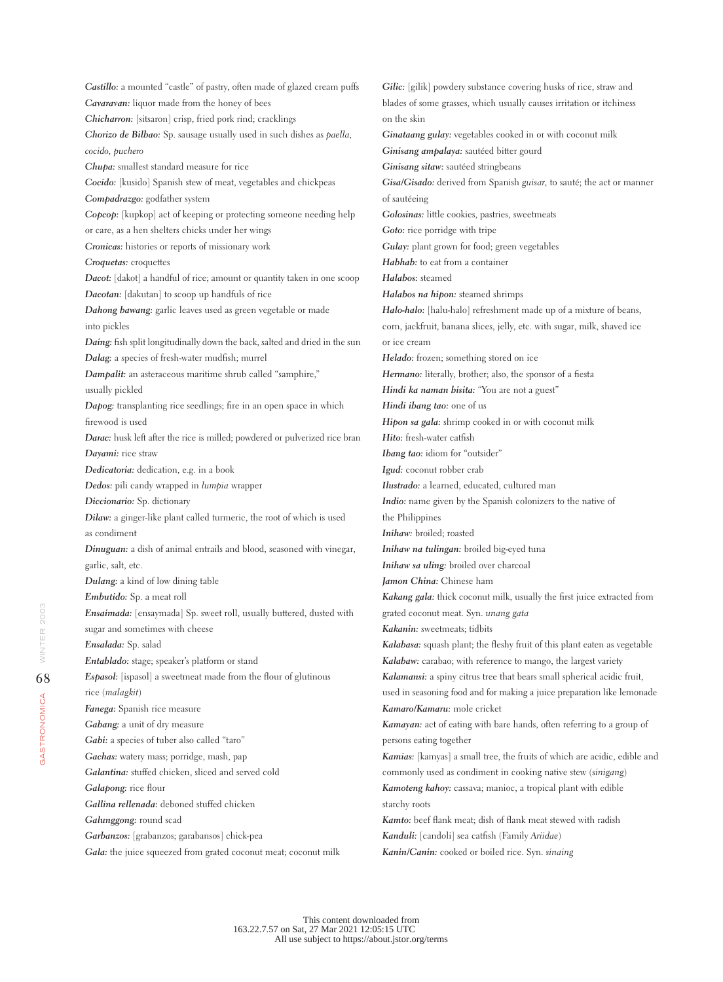*Castillo:* a mounted "castle" of pastry, often made of glazed cream puffs *Cavaravan:* liquor made from the honey of bees *Chicharron:* [sitsaron] crisp, fried pork rind; cracklings *Chorizo de Bilbao:* Sp. sausage usually used in such dishes as *paella, cocido, puchero Chupa:* smallest standard measure for rice *Cocido:* [kusido] Spanish stew of meat, vegetables and chickpeas *Compadrazgo:* godfather system *Copcop:* [kupkop] act of keeping or protecting someone needing help or care, as a hen shelters chicks under her wings *Cronicas:* histories or reports of missionary work *Croquetas:* croquettes *Dacot:* [dakot] a handful of rice; amount or quantity taken in one scoop *Dacotan:* [dakutan] to scoop up handfuls of rice *Dahong bawang:* garlic leaves used as green vegetable or made into pickles *Daing:* fish split longitudinally down the back, salted and dried in the sun *Dalag:* a species of fresh-water mudfish; murrel *Dampalit:* an asteraceous maritime shrub called "samphire," usually pickled *Dapog:* transplanting rice seedlings; fire in an open space in which firewood is used *Darac:* husk left after the rice is milled; powdered or pulverized rice bran *Dayami:* rice straw *Dedicatoria:* dedication, e.g. in a book *Dedos:* pili candy wrapped in *lumpia* wrapper *Diccionario:* Sp. dictionary *Dilaw:* a ginger-like plant called turmeric, the root of which is used as condiment *Dinuguan:* a dish of animal entrails and blood, seasoned with vinegar, garlic, salt, etc. *Dulang:* a kind of low dining table *Embutido:* Sp. a meat roll *Ensaimada:* [ensaymada] Sp. sweet roll, usually buttered, dusted with sugar and sometimes with cheese *Ensalada:* Sp. salad *Entablado:* stage; speaker's platform or stand *Espasol:* [ispasol] a sweetmeat made from the flour of glutinous rice (*malagkit*) *Fanega:* Spanish rice measure *Gabang:* a unit of dry measure Gabi: a species of tuber also called "taro" *Gachas:* watery mass; porridge, mash, pap *Galantina:* stuffed chicken, sliced and served cold *Galapong:* rice flour *Gallina rellenada:* deboned stuffed chicken *Galunggong:* round scad *Garbanzos:* [grabanzos; garabansos] chick-pea *Gala:* the juice squeezed from grated coconut meat; coconut milk

Gilic: [gilik] powdery substance covering husks of rice, straw and blades of some grasses, which usually causes irritation or itchiness on the skin *Ginataang gulay:* vegetables cooked in or with coconut milk *Ginisang ampalaya:* sautéed bitter gourd *Ginisang sitaw:* sautéed stringbeans *Gisa/Gisado:* derived from Spanish *guisar,* to sauté; the act or manner of sautéeing *Golosinas:* little cookies, pastries, sweetmeats *Goto:* rice porridge with tripe *Gulay:* plant grown for food; green vegetables *Habhab:* to eat from a container *Halabos:* steamed *Halabos na hipon:* steamed shrimps *Halo-halo:* [halu-halo] refreshment made up of a mixture of beans, corn, jackfruit, banana slices, jelly, etc. with sugar, milk, shaved ice or ice cream *Helado:* frozen; something stored on ice *Hermano:* literally, brother; also, the sponsor of a fiesta *Hindi ka naman bisita:* "You are not a guest" *Hindi ibang tao:* one of us *Hipon sa gala:* shrimp cooked in or with coconut milk *Hito:* fresh-water catfish *Ibang tao:* idiom for "outsider" *Igud:* coconut robber crab *Ilustrado:* a learned, educated, cultured man *Indio:* name given by the Spanish colonizers to the native of the Philippines *Inihaw:* broiled; roasted *Inihaw na tulingan:* broiled big-eyed tuna *Inihaw sa uling:* broiled over charcoal *Jamon China:* Chinese ham *Kakang gala:* thick coconut milk, usually the first juice extracted from grated coconut meat. Syn. *unang gata Kakanin:* sweetmeats; tidbits *Kalabasa:* squash plant; the fleshy fruit of this plant eaten as vegetable *Kalabaw:* carabao; with reference to mango, the largest variety *Kalamansi:* a spiny citrus tree that bears small spherical acidic fruit, used in seasoning food and for making a juice preparation like lemonade *Kamaro/Kamaru:* mole cricket *Kamayan:* act of eating with bare hands, often referring to a group of persons eating together *Kamias:* [kamyas] a small tree, the fruits of which are acidic, edible and commonly used as condiment in cooking native stew (*sinigang*) *Kamoteng kahoy:* cassava; manioc, a tropical plant with edible starchy roots *Kamto:* beef flank meat; dish of flank meat stewed with radish *Kanduli:* [candoli] sea catfish (Family *Ariidae*) *Kanin/Canin:* cooked or boiled rice. Syn. *sinaing*

 $2003$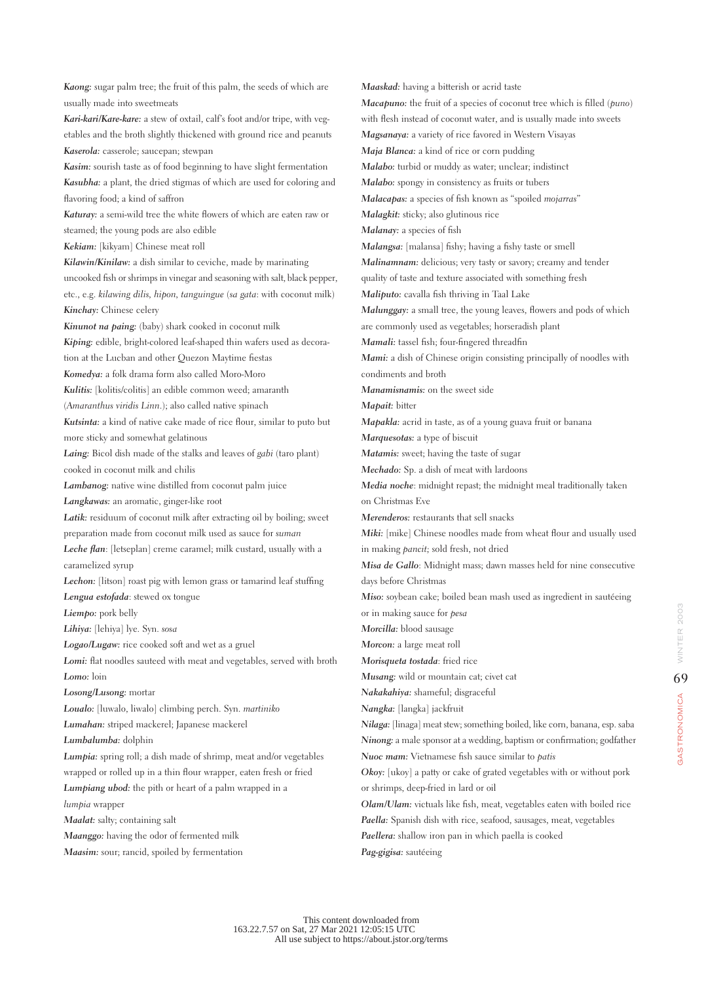*Kaong:* sugar palm tree; the fruit of this palm, the seeds of which are usually made into sweetmeats *Kari-kari/Kare-kare:* a stew of oxtail, calf's foot and/or tripe, with vegetables and the broth slightly thickened with ground rice and peanuts *Kaserola:* casserole; saucepan; stewpan *Kasim:* sourish taste as of food beginning to have slight fermentation *Kasubha:* a plant, the dried stigmas of which are used for coloring and flavoring food; a kind of saffron *Katuray:* a semi-wild tree the white flowers of which are eaten raw or steamed; the young pods are also edible *Kekiam:* [kikyam] Chinese meat roll *Kilawin/Kinilaw:* a dish similar to ceviche, made by marinating uncooked fish or shrimps in vinegar and seasoning with salt, black pepper, etc., e.g. *kilawing dilis, hipon, tanguingue* (*sa gata*: with coconut milk) *Kinchay:* Chinese celery *Kinunot na paing:* (baby) shark cooked in coconut milk *Kiping:* edible, bright-colored leaf-shaped thin wafers used as decoration at the Lucban and other Quezon Maytime fiestas *Komedya:* a folk drama form also called Moro-Moro *Kulitis:* [kolitis/colitis] an edible common weed; amaranth (*Amaranthus viridis Linn*.); also called native spinach *Kutsinta:* a kind of native cake made of rice flour, similar to puto but more sticky and somewhat gelatinous *Laing:* Bicol dish made of the stalks and leaves of *gabi* (taro plant) cooked in coconut milk and chilis *Lambanog:* native wine distilled from coconut palm juice *Langkawas:* an aromatic, ginger-like root Latik: residuum of coconut milk after extracting oil by boiling; sweet preparation made from coconut milk used as sauce for *suman Leche flan*: [letseplan] creme caramel; milk custard, usually with a caramelized syrup *Lechon:* [litson] roast pig with lemon grass or tamarind leaf stuffing *Lengua estofada*: stewed ox tongue *Liempo:* pork belly *Lihiya:* [lehiya] lye. Syn. *sosa Logao/Lugaw:* rice cooked soft and wet as a gruel Lomi: flat noodles sauteed with meat and vegetables, served with broth *Lomo:* loin *Losong/Lusong:* mortar *Loualo:* [luwalo, liwalo] climbing perch. Syn. *martiniko Lumahan:* striped mackerel; Japanese mackerel *Lumbalumba:* dolphin *Lumpia:* spring roll; a dish made of shrimp, meat and/or vegetables wrapped or rolled up in a thin flour wrapper, eaten fresh or fried *Lumpiang ubod:* the pith or heart of a palm wrapped in a *lumpia* wrapper *Maalat:* salty; containing salt *Maanggo:* having the odor of fermented milk *Maasim:* sour; rancid, spoiled by fermentation

*Maaskad:* having a bitterish or acrid taste *Macapuno:* the fruit of a species of coconut tree which is filled (*puno*) with flesh instead of coconut water, and is usually made into sweets *Magsanaya:* a variety of rice favored in Western Visayas *Maja Blanca:* a kind of rice or corn pudding *Malabo:* turbid or muddy as water; unclear; indistinct *Malabo:* spongy in consistency as fruits or tubers *Malacapas:* a species of fish known as "spoiled *mojarras*" *Malagkit:* sticky; also glutinous rice *Malanay:* a species of fish *Malangsa:* [malansa] fishy; having a fishy taste or smell *Malinamnam:* delicious; very tasty or savory; creamy and tender quality of taste and texture associated with something fresh *Maliputo:* cavalla fish thriving in Taal Lake *Malunggay:* a small tree, the young leaves, flowers and pods of which are commonly used as vegetables; horseradish plant *Mamali:* tassel fish; four-fingered threadfin *Mami:* a dish of Chinese origin consisting principally of noodles with condiments and broth *Manamisnamis:* on the sweet side *Mapait:* bitter *Mapakla:* acrid in taste, as of a young guava fruit or banana *Marquesotas:* a type of biscuit *Matamis:* sweet; having the taste of sugar *Mechado:* Sp. a dish of meat with lardoons *Media noche*: midnight repast; the midnight meal traditionally taken on Christmas Eve *Merenderos:* restaurants that sell snacks *Miki*: [mike] Chinese noodles made from wheat flour and usually used in making *pancit;* sold fresh, not dried *Misa de Gallo*: Midnight mass; dawn masses held for nine consecutive days before Christmas *Miso:* soybean cake; boiled bean mash used as ingredient in sautéeing or in making sauce for *pesa Morcilla:* blood sausage *Morcon:* a large meat roll *Morisqueta tostada*: fried rice *Musang:* wild or mountain cat; civet cat *Nakakahiya:* shameful; disgraceful *Nangka:* [langka] jackfruit *Nilaga:* [linaga] meat stew; something boiled, like corn, banana, esp. saba *Ninong:* a male sponsor at a wedding, baptism or confirmation; godfather *Nuoc mam:* Vietnamese fish sauce similar to *patis Okoy:* [ukoy] a patty or cake of grated vegetables with or without pork or shrimps, deep-fried in lard or oil *Olam/Ulam:* victuals like fish, meat, vegetables eaten with boiled rice *Paella:* Spanish dish with rice, seafood, sausages, meat, vegetables *Paellera:* shallow iron pan in which paella is cooked

*Pag-gigisa:* sautéeing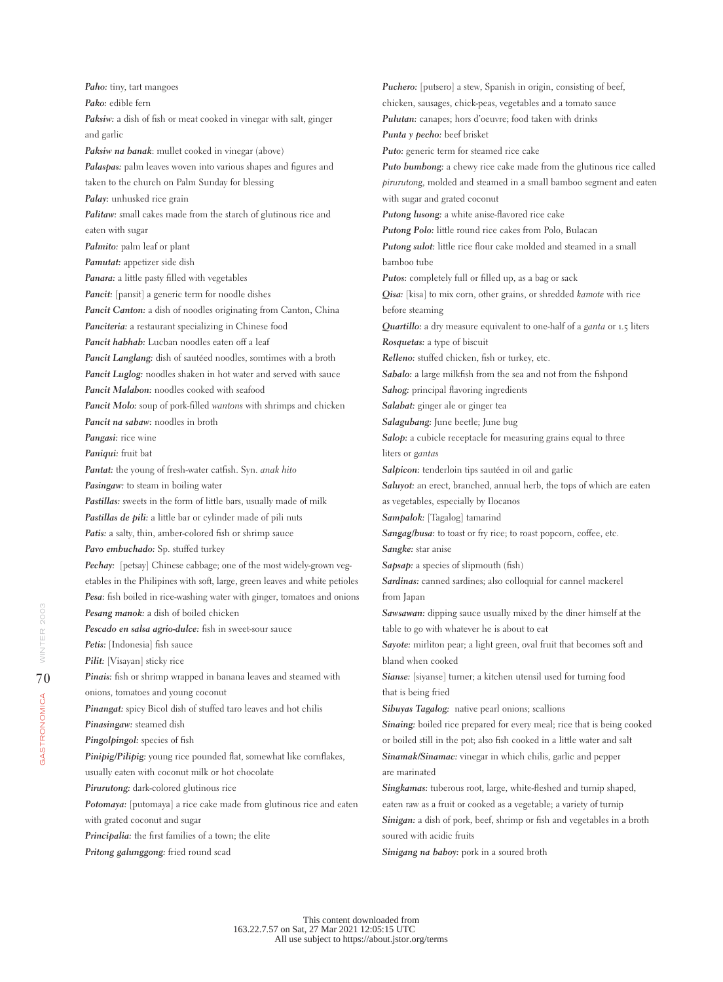Paho: tiny, tart mangoes *Pako:* edible fern *Paksiw:* a dish of fish or meat cooked in vinegar with salt, ginger and garlic *Paksiw na banak*: mullet cooked in vinegar (above) *Palaspas:* palm leaves woven into various shapes and figures and taken to the church on Palm Sunday for blessing *Palay:* unhusked rice grain *Palitaw:* small cakes made from the starch of glutinous rice and eaten with sugar *Palmito:* palm leaf or plant *Pamutat:* appetizer side dish *Panara:* a little pasty filled with vegetables *Pancit:* [pansit] a generic term for noodle dishes *Pancit Canton:* a dish of noodles originating from Canton, China *Panciteria:* a restaurant specializing in Chinese food *Pancit habhab:* Lucban noodles eaten off a leaf *Pancit Langlang:* dish of sautéed noodles, somtimes with a broth *Pancit Luglog:* noodles shaken in hot water and served with sauce *Pancit Malabon:* noodles cooked with seafood *Pancit Molo:* soup of pork-filled *wantons* with shrimps and chicken *Pancit na sabaw:* noodles in broth *Pangasi:* rice wine *Paniqui:* fruit bat *Pantat:* the young of fresh-water catfish. Syn. *anak hito Pasingaw:* to steam in boiling water *Pastillas:* sweets in the form of little bars, usually made of milk Pastillas de pili: a little bar or cylinder made of pili nuts Patis: a salty, thin, amber-colored fish or shrimp sauce *Pavo embuchado:* Sp. stuffed turkey **Pechay:** [petsay] Chinese cabbage; one of the most widely-grown vegetables in the Philipines with soft, large, green leaves and white petioles *Pesa:* fish boiled in rice-washing water with ginger, tomatoes and onions *Pesang manok:* a dish of boiled chicken *Pescado en salsa agrio-dulce:* fish in sweet-sour sauce *Petis:* [Indonesia] fish sauce Pilit: [Visayan] sticky rice *Pinais:* fish or shrimp wrapped in banana leaves and steamed with onions, tomatoes and young coconut *Pinangat:* spicy Bicol dish of stuffed taro leaves and hot chilis *Pinasingaw:* steamed dish *Pingolpingol:* species of fish *Pinipig/Pilipig:* young rice pounded flat, somewhat like cornflakes, usually eaten with coconut milk or hot chocolate *Pirurutong:* dark-colored glutinous rice Potomaya: [putomaya] a rice cake made from glutinous rice and eaten with grated coconut and sugar *Principalia:* the first families of a town; the elite *Pritong galunggong:* fried round scad

*Puchero:* [putsero] a stew, Spanish in origin, consisting of beef, chicken, sausages, chick-peas, vegetables and a tomato sauce *Pulutan:* canapes; hors d'oeuvre; food taken with drinks *Punta y pecho:* beef brisket *Puto:* generic term for steamed rice cake *Puto bumbong:* a chewy rice cake made from the glutinous rice called *pirurutong,* molded and steamed in a small bamboo segment and eaten with sugar and grated coconut *Putong lusong:* a white anise-flavored rice cake *Putong Polo:* little round rice cakes from Polo, Bulacan *Putong sulot:* little rice flour cake molded and steamed in a small bamboo tube *Putos:* completely full or filled up, as a bag or sack *Qisa:* [kisa] to mix corn, other grains, or shredded *kamote* with rice before steaming *Quartillo:* a dry measure equivalent to one-half of a *ganta* or 1.5 liters *Rosquetas:* a type of biscuit *Relleno:* stuffed chicken, fish or turkey, etc. *Sabalo:* a large milkfish from the sea and not from the fishpond *Sahog:* principal flavoring ingredients *Salabat:* ginger ale or ginger tea *Salagubang:* June beetle; June bug *Salop:* a cubicle receptacle for measuring grains equal to three liters or *gantas Salpicon:* tenderloin tips sautéed in oil and garlic *Saluyot:* an erect, branched, annual herb, the tops of which are eaten as vegetables, especially by Ilocanos *Sampalok:* [Tagalog] tamarind *Sangag/busa:* to toast or fry rice; to roast popcorn, coffee, etc. *Sangke:* star anise *Sapsap:* a species of slipmouth (fish) *Sardinas:* canned sardines; also colloquial for cannel mackerel from Japan *Sawsawan:* dipping sauce usually mixed by the diner himself at the table to go with whatever he is about to eat *Sayote:* mirliton pear; a light green, oval fruit that becomes soft and bland when cooked *Sianse:* [siyanse] turner; a kitchen utensil used for turning food that is being fried *Sibuyas Tagalog:* native pearl onions; scallions *Sinaing:* boiled rice prepared for every meal; rice that is being cooked or boiled still in the pot; also fish cooked in a little water and salt *Sinamak/Sinamac:* vinegar in which chilis, garlic and pepper are marinated *Singkamas:* tuberous root, large, white-fleshed and turnip shaped, eaten raw as a fruit or cooked as a vegetable; a variety of turnip *Sinigan:* a dish of pork, beef, shrimp or fish and vegetables in a broth soured with acidic fruits

*Sinigang na baboy:* pork in a soured broth